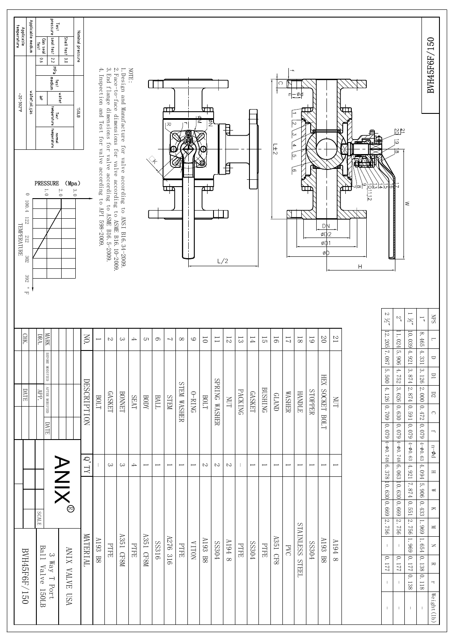| Applicable medium<br>Applicable<br>temperature<br>water,oil,gas<br>-20-302°F                                                                                        | pressure<br>Test<br>seal test<br>Gas seal<br>test<br>$\overline{c}$<br>$0.6$<br><b>PdM</b><br>medium<br>test<br>$\frac{\omega}{\eta}$<br>Test<br>temperature<br>normal<br>temperature | Nominal pressure<br>Shell test<br>$\frac{1}{2}$<br>water<br><b>GJUEB</b> |             |                                                             |                                                                  |                                                                                                                                         | NOTE:         |                          |                          | ℡<br>ᅎ                   |                          |                          | VШ<br>≤        |                 |                |             |                          |                | ౧                        | $\rightarrow$<br>$\rightarrow$ |                          |                          |                                   |                    |                                     |                                                                            | $\frac{21}{20}$<br>$\overrightarrow{6}$                                                            |                                |                                                                                                                                                                                                                      | BVH45F6F/150                                                                                   |
|---------------------------------------------------------------------------------------------------------------------------------------------------------------------|---------------------------------------------------------------------------------------------------------------------------------------------------------------------------------------|--------------------------------------------------------------------------|-------------|-------------------------------------------------------------|------------------------------------------------------------------|-----------------------------------------------------------------------------------------------------------------------------------------|---------------|--------------------------|--------------------------|--------------------------|--------------------------|--------------------------|----------------|-----------------|----------------|-------------|--------------------------|----------------|--------------------------|--------------------------------|--------------------------|--------------------------|-----------------------------------|--------------------|-------------------------------------|----------------------------------------------------------------------------|----------------------------------------------------------------------------------------------------|--------------------------------|----------------------------------------------------------------------------------------------------------------------------------------------------------------------------------------------------------------------|------------------------------------------------------------------------------------------------|
| $\circ$<br>$100.\,4$<br>$\begin{tabular}{ll} \bf 122 & $\simeq$ & $\simeq$ \\ \bf 1EMPERATIVE \\ \bf 1EMPERATIVE \\ \end{tabular}$<br>302<br>392<br>$^{\circ}$<br>F | <b>PRESSURE</b><br>$\overline{1.0}$                                                                                                                                                   | (Mpa)<br>3.0<br>2.0                                                      |             | 4. Inspection and Test for valve according to API 598-2009. | 3. End flange dimensions for valve according to ASME B16.5-2009. | l.Design and Manufacture for valve according to ANSI B16.34-2009.<br>2.Face-to-face dimensions for valve according to ASME B16.34-2009. |               |                          |                          | ш                        |                          |                          | ø<br>Ē         | L/2             | П              |             |                          |                | $\overline{11}$          |                                | ю                        |                          | DŅ<br>øD <sub>2</sub><br>øФ<br>øD |                    | ဖ<br>$\frac{13}{101112}$<br>ŒЦ<br>Η | 하지                                                                         | ळि                                                                                                 | ≲                              |                                                                                                                                                                                                                      |                                                                                                |
| CHK.                                                                                                                                                                | <b>MARK</b><br>DRA.                                                                                                                                                                   |                                                                          | Š,          | $\overline{}$                                               | $\mathbbm{C}$                                                    | $\sim$                                                                                                                                  | $\rightarrow$ | cл                       | 6                        | $\overline{\phantom{0}}$ | $\infty$                 | $\circ$                  | $\overline{0}$ | $\overline{1}$  | $\overline{5}$ | $\Xi$       | 14                       | 51             | 16                       | $\overline{L}$                 | $\overline{\rm 8}$       | $\overline{6}$           | $\Omega$                          | $\overline{2}$     |                                     | $\sim$<br>$\tilde{\gamma}'$<br> 12.205                                     | $\zeta'$<br>1.024                                                                                  | $\frac{2}{\sqrt{2}}$<br>10.039 | $\overline{\phantom{a}}$<br>$\infty$                                                                                                                                                                                 | SdN<br>$\overline{\phantom{0}}$                                                                |
| DATE                                                                                                                                                                | BEFORE MODIFIED<br>AFTER MODIFIED<br><b>DATE</b>                                                                                                                                      |                                                                          | DESCRIPTION | BOLT                                                        | <b>GASKET</b>                                                    | <b>BONNET</b>                                                                                                                           | <b>SEAT</b>   | BODY                     | <b>BALL</b>              | <b>NELS</b>              | STEM WASHER              | O-RING                   | BOLT           | SPRING WASHER   | <b>NUT</b>     | PACKING     | <b>GASKET</b>            | <b>BUSHING</b> | <b>CLAND</b>             | <b>WASHER</b>                  | <b>HANDLE</b>            | STOPPER                  | <b>XHH</b><br>SOCKET BOLT         | <b>NUT</b>         |                                     | 7. 087 5. 500 4. 126 0. 709 0. 079 4- 00. 748 6. 378 10. 630 0. 669 2. 756 | 5.906<br>$+ .752$<br>$\left 3.626\right 0.630\left 0.079\right $ 4-00.748 6.063 10.630 0.669 2.756 | $4.\,921$                      | $465\,$<br>4.331                                                                                                                                                                                                     | $\Box$<br>$\overline{\Box}$<br>$\rm{D}2$<br>$\bigcirc$<br>$\overline{1}$                       |
|                                                                                                                                                                     |                                                                                                                                                                                       |                                                                          | $Q'$ TY     |                                                             | $\rm{c}$                                                         | $\rm{c}$                                                                                                                                | $\rightarrow$ | $\overline{\phantom{0}}$ | $\overline{\phantom{0}}$ | $\overline{\phantom{0}}$ | $\overline{\phantom{0}}$ | $\overline{\phantom{0}}$ | $\mathcal{L}$  | $\mathbbmss{C}$ | $\sim$         |             | $\overline{\phantom{0}}$ | I              | $\overline{\phantom{0}}$ | $\overline{ }$                 | $\overline{\phantom{0}}$ | $\overline{\phantom{0}}$ | $\overline{\phantom{0}}$          | Ī                  |                                     |                                                                            |                                                                                                    |                                |                                                                                                                                                                                                                      | $n{-}\Phi d$<br>$\equiv$                                                                       |
| BVH45F6F/150                                                                                                                                                        | <b>SCALE</b><br>3 Way T Port<br>Ball Valve 150LB                                                                                                                                      | <b>ANIX®</b><br>ANIX VALVE USA                                           | MATERIAL    | A193 B8                                                     | PTFE                                                             | A351 CF8M                                                                                                                               | <b>PTFE</b>   | A351 CF8M                | SS316                    | A276 316                 | <b>PTFE</b>              | <b>NOLIA</b>             | A193 B8        | <b>SS304</b>    | 8 F6IV         | <b>PTFE</b> | <b>SS304</b>             | <b>PTFE</b>    | A351 CF8                 | M <sub>d</sub>                 | STAINLESS STEEL          | <b>SS304</b>             | A193 B8                           | $1194$<br>$\infty$ |                                     | $\perp$<br>171.0<br>$\mathbb{L}$                                           | 10.177                                                                                             |                                | $\left 3.126\right 2.000\left 0.472\right 0.079\left 4-0.63\right 4-0.63\left 4.094\right 5.906\left 0.433\right 1.969\left 1.654\right 0.138\left 0.118\right 0.006\left 0.006\right 0.000\left 0.006\right 0.0000$ | $\leq$<br>$\bowtie$<br>$\leq$<br>$\geq$<br>$\approx$<br>$\overline{\phantom{a}}$<br>Weight(1b) |

ן